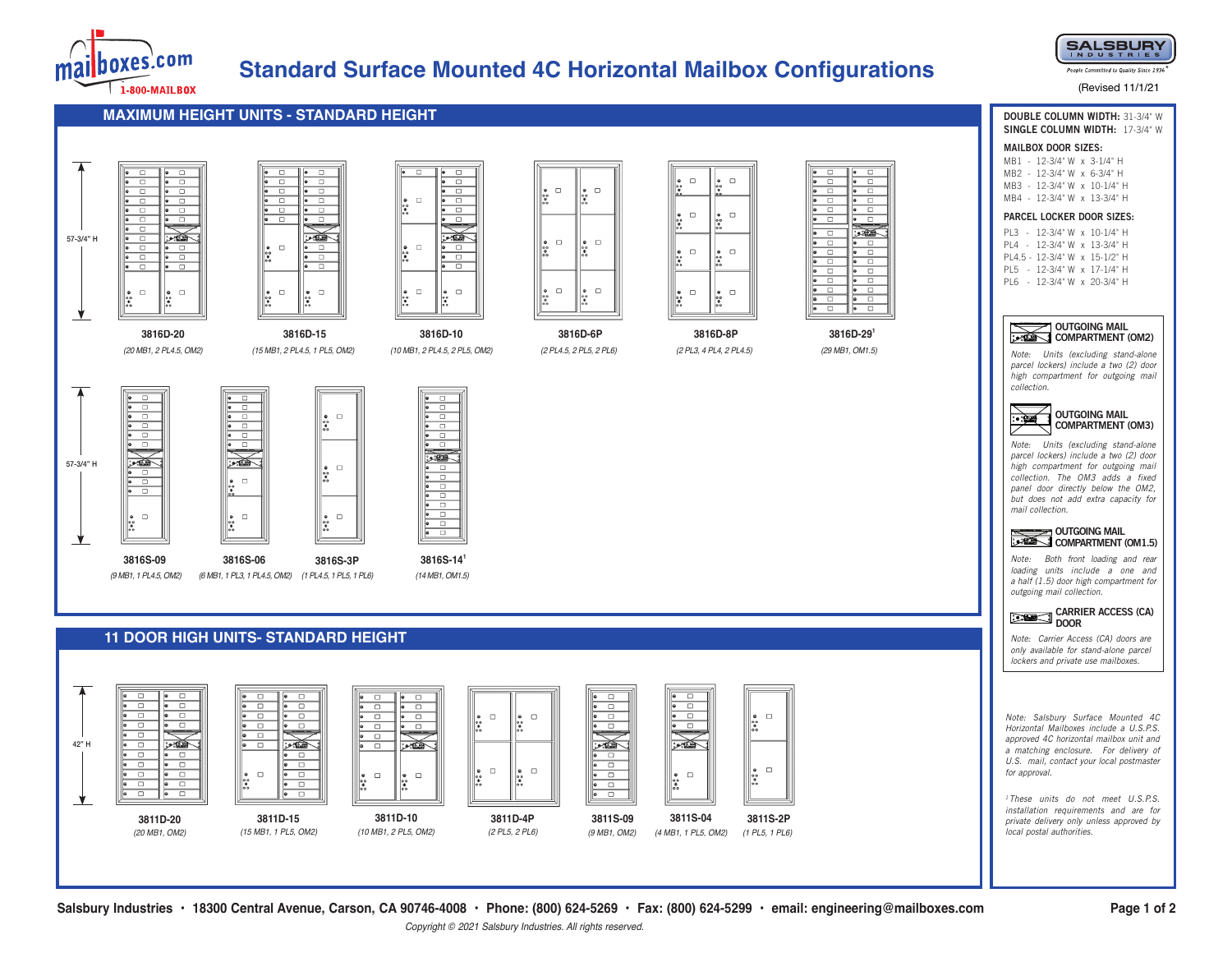

# **Standard Surface Mounted 4C Horizontal Mailbox Configurations**

 $\hfill \square$ 

 $\Box$ 

 $\Box$ 

*(2 PL4.5, 2 PL5, 2 PL6)* **3816D-6P**

 $\hfill \square$ 

 $\bigotimes_{\begin{matrix}\bullet\\\bullet\\\bullet\\\bullet\\\bullet\\\bullet\end{matrix}}\square$ 

 $\hfill \square$ 

ı.

 $\frac{1}{2}$ 

*(2 PL3, 4 PL4, 2 PL4.5)* **3816D-8P**

 $\frac{1}{200}$ 

 $\Box$ 

 $\Box$ 

 $\frac{1}{2}$ 

 $\frac{1}{2}$ 

 $\begin{matrix} \bullet \\ \bullet \\ \bullet \\ \bullet \bullet \end{matrix} \quad \Box$ 

 $\begin{matrix} \bullet \\ \bullet \\ \bullet \\ \bullet \\ \bullet \end{matrix}$ 

 $\hfill \square$ 

 $\Box$ 

 $\Box$ 

 $\Box$  $\bullet$ 

 $\Box$ 

∣∙

X



People Committed to Quality Since 1936

#### (Revised 11/1/21

**DOUBLE COLUMN WIDTH:** 31-3/4" W **SINGLE COLUMN WIDTH:** 17-3/4" W

**MAXIMUM HEIGHT UNITS - STANDARD HEIGHT**



57-3/4" H

v.





## **11 DOOR HIGH UNITS- STANDARD HEIGHT**



*(10 MB1, 2 PL4.5, 2 PL5, OM2)* **3816D-10**

 $\Box$ 

 $\overline{\phantom{a}}$ 

 $\Box$ 

 $\overline{\phantom{a}}$ 

ᇹ

ڪيو

 $\Box$ 

 $\overline{\phantom{a}}$ 

 $\overline{\bullet}$  or

 $\begin{array}{c} \bullet \\ \bullet \\ \bullet \\ \bullet \end{array}$ 

 $\overline{\phantom{0}}$ 

 $\Box$ 

 $\Box$ 

 $\hfill\square$ 

 $\begin{array}{c}\n\bullet & \circ & \bullet \\
\circ & \bullet & \circ \\
\end{array}$ 

 $\begin{array}{c} \bullet \\ \bullet \\ \bullet \\ \bullet \bullet \end{array}$ 

 $\begin{array}{c} \bullet \\ \bullet \\ \bullet \\ \bullet \end{array}$ 

 $\bullet$   $\Box$  $\overline{\bullet}$   $\overline{\Box}$  $\bullet$   $\Box$  $\overline{\bullet}$  o  $\overline{\bullet}$   $\Box$  $\overline{\bullet}$  of  $\overline{\bullet}$  $\overline{\bullet}$   $\overline{\Box}$  $\overline{\bullet}$  or  $\bullet$  or  $\bullet$   $\Box$  $\overline{\bullet}$   $\Box$  $\sum_{i=1}^n$  $\bullet$   $\Box$  $\bullet$   $\Box$  $\bullet$  0  $\bullet$   $\Box$  $\bullet$   $\Box$  $\bullet$  0  $\bullet$   $\Box$  $\bullet$  0  $\bullet$   $\Box$  $\bullet$   $\Box$  $\bullet$   $\Box$  $\bullet$   $\Box$  $\overline{\bullet}$  of  $\overline{\bullet}$  $\bullet$   $\Box$  $\overline{\Box}$ 

> *(29 MB1, OM1.5)* **3816D-29<sup>1</sup>**



**MAILBOX DOOR SIZES:** MB1 - 12-3/4" W x 3-1/4" H MB2 - 12-3/4" W x 6-3/4" H MB3 - 12-3/4" W x 10-1/4" H MB4 - 12-3/4" W x 13-3/4" H **PARCEL LOCKER DOOR SIZES:** PL3 - 12-3/4" W x 10-1/4" H PL4 - 12-3/4" W x 13-3/4" H



 *parcel lockers) include a two (2) door Note: Units (excluding stand-alone high compartment for outgoing mail collection.* 



*Note: Units (excluding stand-alone parcel lockers) include a two (2) door high compartment for outgoing mail collection. The OM3 adds a fixed panel door directly below the OM2, but does not add extra capacity for mail collection.* 



*Note: Both front loading and rear loading units include a one and a half (1.5) door high compartment for outgoing mail collection.*

**CARRIER ACCESS (CA) DOOR** 

*Note: Carrier Access (CA) doors are only available for stand-alone parcel lockers and private use mailboxes.*

*Note: Salsbury Surface Mounted 4C Horizontal Mailboxes include a U.S.P.S. approved 4C horizontal mailbox unit and a matching enclosure. For delivery of U.S. mail, contact your local postmaster for approval.*

*<sup>1</sup> These units do not meet U.S.P.S. installation requirements and are for private delivery only unless approved by local postal authorities.*

**Salsbury Industries • 18300 Central Avenue, Carson, CA 90746-4008 • Phone: (800) 624-5269 • Fax: (800) 624-5299 • email: engineering@mailboxes.com** 

*Copyright © 2021 Salsbury Industries. All rights reserved.*